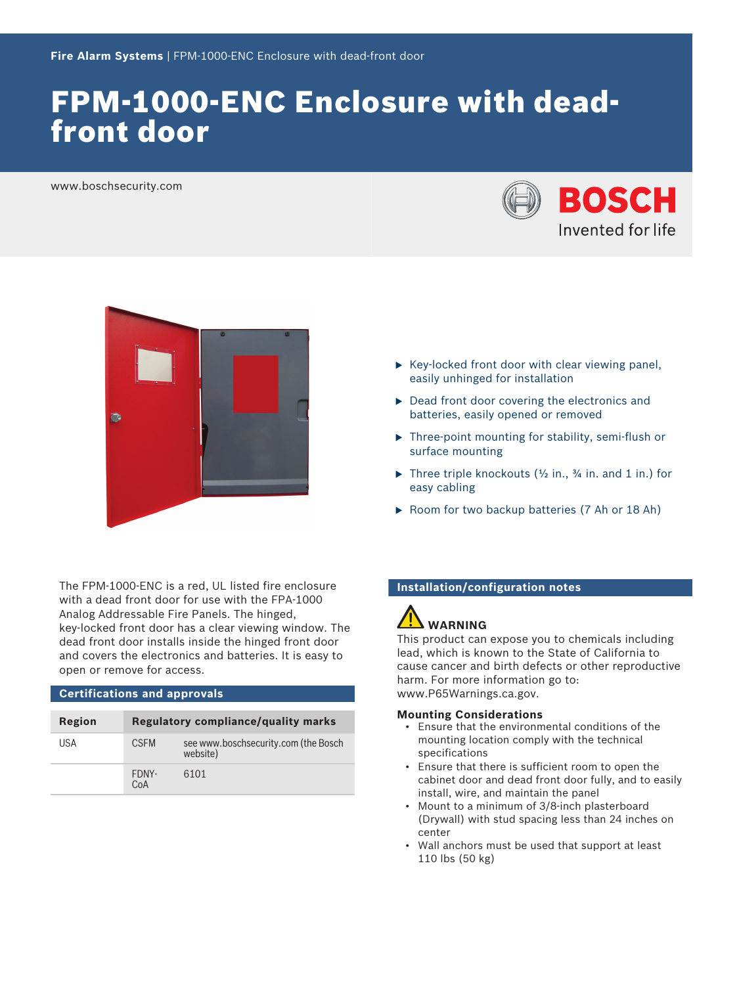# FPM-1000-ENC Enclosure with deadfront door

www.boschsecurity.com





- $\triangleright$  Key-locked front door with clear viewing panel, easily unhinged for installation
- $\triangleright$  Dead front door covering the electronics and batteries, easily opened or removed
- $\triangleright$  Three-point mounting for stability, semi-flush or surface mounting
- Three triple knockouts  $(\frac{1}{2}$  in.,  $\frac{3}{4}$  in. and 1 in.) for easy cabling
- $\triangleright$  Room for two backup batteries (7 Ah or 18 Ah)

The FPM-1000-ENC is a red, UL listed fire enclosure with a dead front door for use with the FPA-1000 Analog Addressable Fire Panels. The hinged, key‑locked front door has a clear viewing window. The dead front door installs inside the hinged front door and covers the electronics and batteries. It is easy to open or remove for access.

### **Certifications and approvals**

| Region | Regulatory compliance/quality marks |                                                  |
|--------|-------------------------------------|--------------------------------------------------|
| USA    | <b>CSFM</b>                         | see www.boschsecurity.com (the Bosch<br>website) |
|        | FDNY-<br>CoA                        | 6101                                             |

### **Installation/configuration notes**

# **WARNING**

This product can expose you to chemicals including lead, which is known to the State of California to cause cancer and birth defects or other reproductive harm. For more information go to: [www.P65Warnings.ca.gov.](http://www.P65Warnings.ca.gov)

#### **Mounting Considerations**

- Ensure that the environmental conditions of the mounting location comply with the technical specifications
- Ensure that there is sufficient room to open the cabinet door and dead front door fully, and to easily install, wire, and maintain the panel
- Mount to a minimum of 3/8‑inch plasterboard (Drywall) with stud spacing less than 24 inches on center
- Wall anchors must be used that support at least 110 lbs (50 kg)